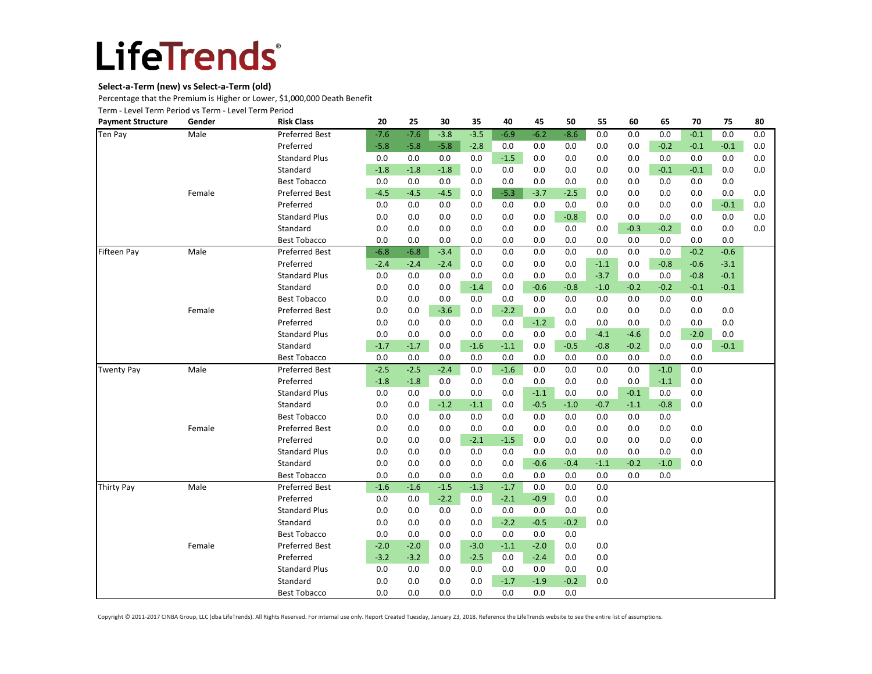### **Select-a-Term (new) vs Select-a-Term (old)**

Percentage that the Premium is Higher or Lower, \$1,000,000 Death Benefit

Term - Level Term Period vs Term - Level Term Period

| <b>Payment Structure</b> | Gender | <b>Risk Class</b>     | 20     | 25     | 30      | 35     | 40     | 45     | 50     | 55     | 60     | 65     | 70     | 75     | 80  |
|--------------------------|--------|-----------------------|--------|--------|---------|--------|--------|--------|--------|--------|--------|--------|--------|--------|-----|
| Ten Pay                  | Male   | <b>Preferred Best</b> | $-7.6$ | $-7.6$ | $-3.8$  | $-3.5$ | $-6.9$ | $-6.2$ | $-8.6$ | 0.0    | 0.0    | 0.0    | $-0.1$ | 0.0    | 0.0 |
|                          |        | Preferred             | $-5.8$ | $-5.8$ | $-5.8$  | $-2.8$ | 0.0    | 0.0    | 0.0    | 0.0    | 0.0    | $-0.2$ | $-0.1$ | $-0.1$ | 0.0 |
|                          |        | <b>Standard Plus</b>  | 0.0    | 0.0    | 0.0     | 0.0    | $-1.5$ | 0.0    | 0.0    | 0.0    | 0.0    | 0.0    | 0.0    | 0.0    | 0.0 |
|                          |        | Standard              | $-1.8$ | $-1.8$ | $-1.8$  | 0.0    | 0.0    | 0.0    | 0.0    | 0.0    | 0.0    | $-0.1$ | $-0.1$ | 0.0    | 0.0 |
|                          |        | <b>Best Tobacco</b>   | 0.0    | 0.0    | $0.0\,$ | 0.0    | 0.0    | 0.0    | 0.0    | 0.0    | 0.0    | 0.0    | 0.0    | 0.0    |     |
|                          | Female | <b>Preferred Best</b> | $-4.5$ | $-4.5$ | $-4.5$  | 0.0    | $-5.3$ | $-3.7$ | $-2.5$ | 0.0    | 0.0    | 0.0    | 0.0    | 0.0    | 0.0 |
|                          |        | Preferred             | 0.0    | 0.0    | 0.0     | 0.0    | 0.0    | 0.0    | 0.0    | 0.0    | 0.0    | 0.0    | 0.0    | $-0.1$ | 0.0 |
|                          |        | <b>Standard Plus</b>  | 0.0    | 0.0    | 0.0     | 0.0    | 0.0    | 0.0    | $-0.8$ | 0.0    | 0.0    | 0.0    | 0.0    | 0.0    | 0.0 |
|                          |        | Standard              | 0.0    | 0.0    | 0.0     | 0.0    | 0.0    | 0.0    | 0.0    | 0.0    | $-0.3$ | $-0.2$ | 0.0    | 0.0    | 0.0 |
|                          |        | <b>Best Tobacco</b>   | 0.0    | 0.0    | 0.0     | 0.0    | 0.0    | 0.0    | 0.0    | 0.0    | 0.0    | 0.0    | 0.0    | 0.0    |     |
| Fifteen Pay              | Male   | <b>Preferred Best</b> | $-6.8$ | $-6.8$ | $-3.4$  | 0.0    | 0.0    | 0.0    | 0.0    | 0.0    | 0.0    | 0.0    | $-0.2$ | $-0.6$ |     |
|                          |        | Preferred             | $-2.4$ | $-2.4$ | $-2.4$  | 0.0    | 0.0    | 0.0    | 0.0    | $-1.1$ | 0.0    | $-0.8$ | $-0.6$ | $-3.1$ |     |
|                          |        | <b>Standard Plus</b>  | 0.0    | 0.0    | 0.0     | 0.0    | 0.0    | 0.0    | 0.0    | $-3.7$ | 0.0    | 0.0    | $-0.8$ | $-0.1$ |     |
|                          |        | Standard              | 0.0    | 0.0    | 0.0     | $-1.4$ | 0.0    | $-0.6$ | $-0.8$ | $-1.0$ | $-0.2$ | $-0.2$ | $-0.1$ | $-0.1$ |     |
|                          |        | <b>Best Tobacco</b>   | 0.0    | 0.0    | 0.0     | 0.0    | 0.0    | 0.0    | 0.0    | 0.0    | 0.0    | 0.0    | 0.0    |        |     |
|                          | Female | <b>Preferred Best</b> | 0.0    | 0.0    | $-3.6$  | 0.0    | $-2.2$ | 0.0    | 0.0    | 0.0    | 0.0    | 0.0    | 0.0    | 0.0    |     |
|                          |        | Preferred             | 0.0    | 0.0    | 0.0     | 0.0    | 0.0    | $-1.2$ | 0.0    | 0.0    | 0.0    | 0.0    | 0.0    | 0.0    |     |
|                          |        | <b>Standard Plus</b>  | 0.0    | 0.0    | 0.0     | 0.0    | 0.0    | 0.0    | 0.0    | $-4.1$ | $-4.6$ | 0.0    | $-2.0$ | 0.0    |     |
|                          |        | Standard              | $-1.7$ | $-1.7$ | 0.0     | $-1.6$ | $-1.1$ | 0.0    | $-0.5$ | $-0.8$ | $-0.2$ | 0.0    | 0.0    | $-0.1$ |     |
|                          |        | <b>Best Tobacco</b>   | 0.0    | 0.0    | 0.0     | 0.0    | 0.0    | 0.0    | 0.0    | 0.0    | 0.0    | 0.0    | 0.0    |        |     |
| <b>Twenty Pay</b>        | Male   | Preferred Best        | $-2.5$ | $-2.5$ | $-2.4$  | 0.0    | $-1.6$ | 0.0    | 0.0    | 0.0    | 0.0    | $-1.0$ | 0.0    |        |     |
|                          |        | Preferred             | $-1.8$ | $-1.8$ | 0.0     | 0.0    | 0.0    | 0.0    | 0.0    | 0.0    | 0.0    | $-1.1$ | 0.0    |        |     |
|                          |        | <b>Standard Plus</b>  | 0.0    | 0.0    | 0.0     | 0.0    | 0.0    | $-1.1$ | 0.0    | 0.0    | $-0.1$ | 0.0    | 0.0    |        |     |
|                          |        | Standard              | 0.0    | 0.0    | $-1.2$  | $-1.1$ | 0.0    | $-0.5$ | $-1.0$ | $-0.7$ | $-1.1$ | $-0.8$ | 0.0    |        |     |
|                          |        | <b>Best Tobacco</b>   | 0.0    | 0.0    | 0.0     | 0.0    | 0.0    | 0.0    | 0.0    | 0.0    | 0.0    | 0.0    |        |        |     |
|                          | Female | <b>Preferred Best</b> | 0.0    | 0.0    | 0.0     | 0.0    | 0.0    | 0.0    | 0.0    | 0.0    | 0.0    | 0.0    | 0.0    |        |     |
|                          |        | Preferred             | 0.0    | 0.0    | 0.0     | $-2.1$ | $-1.5$ | 0.0    | 0.0    | 0.0    | 0.0    | 0.0    | 0.0    |        |     |
|                          |        | <b>Standard Plus</b>  | 0.0    | 0.0    | 0.0     | 0.0    | 0.0    | 0.0    | 0.0    | 0.0    | 0.0    | 0.0    | 0.0    |        |     |
|                          |        | Standard              | 0.0    | 0.0    | 0.0     | 0.0    | 0.0    | $-0.6$ | $-0.4$ | $-1.1$ | $-0.2$ | $-1.0$ | 0.0    |        |     |
|                          |        | <b>Best Tobacco</b>   | 0.0    | 0.0    | 0.0     | 0.0    | 0.0    | 0.0    | 0.0    | 0.0    | 0.0    | 0.0    |        |        |     |
| Thirty Pay               | Male   | <b>Preferred Best</b> | $-1.6$ | $-1.6$ | $-1.5$  | $-1.3$ | $-1.7$ | 0.0    | 0.0    | 0.0    |        |        |        |        |     |
|                          |        | Preferred             | 0.0    | 0.0    | $-2.2$  | 0.0    | $-2.1$ | $-0.9$ | 0.0    | 0.0    |        |        |        |        |     |
|                          |        | <b>Standard Plus</b>  | 0.0    | 0.0    | 0.0     | 0.0    | 0.0    | 0.0    | 0.0    | 0.0    |        |        |        |        |     |
|                          |        | Standard              | 0.0    | 0.0    | 0.0     | 0.0    | $-2.2$ | $-0.5$ | $-0.2$ | 0.0    |        |        |        |        |     |
|                          |        | <b>Best Tobacco</b>   | 0.0    | 0.0    | 0.0     | 0.0    | 0.0    | 0.0    | 0.0    |        |        |        |        |        |     |
|                          | Female | <b>Preferred Best</b> | $-2.0$ | $-2.0$ | 0.0     | $-3.0$ | $-1.1$ | $-2.0$ | 0.0    | 0.0    |        |        |        |        |     |
|                          |        | Preferred             | $-3.2$ | $-3.2$ | 0.0     | $-2.5$ | 0.0    | $-2.4$ | 0.0    | 0.0    |        |        |        |        |     |
|                          |        | <b>Standard Plus</b>  | 0.0    | 0.0    | 0.0     | 0.0    | 0.0    | 0.0    | 0.0    | 0.0    |        |        |        |        |     |
|                          |        | Standard              | 0.0    | 0.0    | 0.0     | 0.0    | $-1.7$ | $-1.9$ | $-0.2$ | 0.0    |        |        |        |        |     |
|                          |        | <b>Best Tobacco</b>   | 0.0    | 0.0    | 0.0     | 0.0    | 0.0    | 0.0    | 0.0    |        |        |        |        |        |     |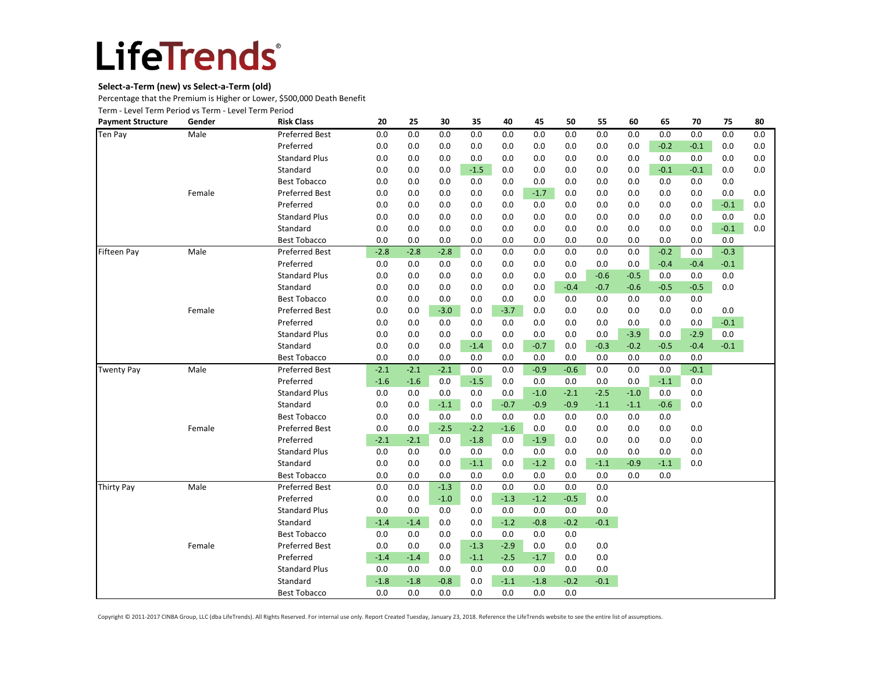### **Select-a-Term (new) vs Select-a-Term (old)**

Percentage that the Premium is Higher or Lower, \$500,000 Death Benefit

Term - Level Term Period vs Term - Level Term Period

| <b>Payment Structure</b> | Gender | <b>Risk Class</b>     | 20     | 25     | 30     | 35     | 40     | 45     | 50     | 55     | 60     | 65     | 70     | 75     | 80  |
|--------------------------|--------|-----------------------|--------|--------|--------|--------|--------|--------|--------|--------|--------|--------|--------|--------|-----|
| Ten Pay                  | Male   | <b>Preferred Best</b> | 0.0    | 0.0    | 0.0    | 0.0    | 0.0    | 0.0    | 0.0    | 0.0    | 0.0    | 0.0    | 0.0    | 0.0    | 0.0 |
|                          |        | Preferred             | 0.0    | 0.0    | 0.0    | 0.0    | 0.0    | 0.0    | 0.0    | 0.0    | 0.0    | $-0.2$ | $-0.1$ | 0.0    | 0.0 |
|                          |        | <b>Standard Plus</b>  | 0.0    | 0.0    | 0.0    | 0.0    | 0.0    | 0.0    | 0.0    | 0.0    | 0.0    | 0.0    | 0.0    | 0.0    | 0.0 |
|                          |        | Standard              | 0.0    | 0.0    | 0.0    | $-1.5$ | 0.0    | 0.0    | 0.0    | 0.0    | 0.0    | $-0.1$ | $-0.1$ | 0.0    | 0.0 |
|                          |        | <b>Best Tobacco</b>   | 0.0    | 0.0    | 0.0    | 0.0    | 0.0    | 0.0    | 0.0    | 0.0    | 0.0    | 0.0    | 0.0    | 0.0    |     |
|                          | Female | <b>Preferred Best</b> | 0.0    | 0.0    | 0.0    | 0.0    | 0.0    | $-1.7$ | 0.0    | 0.0    | 0.0    | 0.0    | 0.0    | 0.0    | 0.0 |
|                          |        | Preferred             | 0.0    | 0.0    | 0.0    | 0.0    | 0.0    | 0.0    | 0.0    | 0.0    | 0.0    | 0.0    | 0.0    | $-0.1$ | 0.0 |
|                          |        | <b>Standard Plus</b>  | 0.0    | 0.0    | 0.0    | 0.0    | 0.0    | 0.0    | 0.0    | 0.0    | 0.0    | 0.0    | 0.0    | 0.0    | 0.0 |
|                          |        | Standard              | 0.0    | 0.0    | 0.0    | 0.0    | 0.0    | 0.0    | 0.0    | 0.0    | 0.0    | 0.0    | 0.0    | $-0.1$ | 0.0 |
|                          |        | <b>Best Tobacco</b>   | 0.0    | 0.0    | 0.0    | 0.0    | 0.0    | 0.0    | 0.0    | 0.0    | 0.0    | 0.0    | 0.0    | 0.0    |     |
| <b>Fifteen Pay</b>       | Male   | <b>Preferred Best</b> | $-2.8$ | $-2.8$ | $-2.8$ | 0.0    | 0.0    | 0.0    | 0.0    | 0.0    | 0.0    | $-0.2$ | 0.0    | $-0.3$ |     |
|                          |        | Preferred             | 0.0    | 0.0    | 0.0    | 0.0    | 0.0    | 0.0    | 0.0    | 0.0    | 0.0    | $-0.4$ | $-0.4$ | $-0.1$ |     |
|                          |        | <b>Standard Plus</b>  | 0.0    | 0.0    | 0.0    | 0.0    | 0.0    | 0.0    | 0.0    | $-0.6$ | $-0.5$ | 0.0    | 0.0    | 0.0    |     |
|                          |        | Standard              | 0.0    | 0.0    | 0.0    | 0.0    | 0.0    | 0.0    | $-0.4$ | $-0.7$ | $-0.6$ | $-0.5$ | $-0.5$ | 0.0    |     |
|                          |        | <b>Best Tobacco</b>   | 0.0    | 0.0    | 0.0    | 0.0    | 0.0    | 0.0    | 0.0    | 0.0    | 0.0    | 0.0    | 0.0    |        |     |
|                          | Female | <b>Preferred Best</b> | 0.0    | 0.0    | $-3.0$ | 0.0    | $-3.7$ | 0.0    | 0.0    | 0.0    | 0.0    | 0.0    | 0.0    | 0.0    |     |
|                          |        | Preferred             | 0.0    | 0.0    | 0.0    | 0.0    | 0.0    | 0.0    | 0.0    | 0.0    | 0.0    | 0.0    | 0.0    | $-0.1$ |     |
|                          |        | <b>Standard Plus</b>  | 0.0    | 0.0    | 0.0    | 0.0    | 0.0    | 0.0    | 0.0    | 0.0    | $-3.9$ | 0.0    | $-2.9$ | 0.0    |     |
|                          |        | Standard              | 0.0    | 0.0    | 0.0    | $-1.4$ | 0.0    | $-0.7$ | 0.0    | $-0.3$ | $-0.2$ | $-0.5$ | $-0.4$ | $-0.1$ |     |
|                          |        | <b>Best Tobacco</b>   | 0.0    | 0.0    | 0.0    | 0.0    | 0.0    | 0.0    | 0.0    | 0.0    | 0.0    | 0.0    | 0.0    |        |     |
| <b>Twenty Pay</b>        | Male   | <b>Preferred Best</b> | $-2.1$ | $-2.1$ | $-2.1$ | 0.0    | 0.0    | $-0.9$ | $-0.6$ | 0.0    | 0.0    | 0.0    | $-0.1$ |        |     |
|                          |        | Preferred             | $-1.6$ | $-1.6$ | 0.0    | $-1.5$ | 0.0    | 0.0    | 0.0    | 0.0    | 0.0    | $-1.1$ | 0.0    |        |     |
|                          |        | <b>Standard Plus</b>  | 0.0    | 0.0    | 0.0    | 0.0    | 0.0    | $-1.0$ | $-2.1$ | $-2.5$ | $-1.0$ | 0.0    | 0.0    |        |     |
|                          |        | Standard              | 0.0    | 0.0    | $-1.1$ | 0.0    | $-0.7$ | $-0.9$ | $-0.9$ | $-1.1$ | $-1.1$ | $-0.6$ | 0.0    |        |     |
|                          |        | <b>Best Tobacco</b>   | 0.0    | 0.0    | 0.0    | 0.0    | 0.0    | 0.0    | 0.0    | 0.0    | 0.0    | 0.0    |        |        |     |
|                          | Female | <b>Preferred Best</b> | 0.0    | 0.0    | $-2.5$ | $-2.2$ | $-1.6$ | 0.0    | 0.0    | 0.0    | 0.0    | 0.0    | 0.0    |        |     |
|                          |        | Preferred             | $-2.1$ | $-2.1$ | 0.0    | $-1.8$ | 0.0    | $-1.9$ | 0.0    | 0.0    | 0.0    | 0.0    | 0.0    |        |     |
|                          |        | <b>Standard Plus</b>  | 0.0    | 0.0    | 0.0    | 0.0    | 0.0    | 0.0    | 0.0    | 0.0    | 0.0    | 0.0    | 0.0    |        |     |
|                          |        | Standard              | 0.0    | 0.0    | 0.0    | $-1.1$ | 0.0    | $-1.2$ | 0.0    | $-1.1$ | $-0.9$ | $-1.1$ | 0.0    |        |     |
|                          |        | <b>Best Tobacco</b>   | 0.0    | 0.0    | 0.0    | 0.0    | 0.0    | 0.0    | 0.0    | 0.0    | 0.0    | 0.0    |        |        |     |
| <b>Thirty Pay</b>        | Male   | <b>Preferred Best</b> | 0.0    | 0.0    | $-1.3$ | 0.0    | 0.0    | 0.0    | 0.0    | 0.0    |        |        |        |        |     |
|                          |        | Preferred             | 0.0    | 0.0    | $-1.0$ | 0.0    | $-1.3$ | $-1.2$ | $-0.5$ | 0.0    |        |        |        |        |     |
|                          |        | <b>Standard Plus</b>  | 0.0    | 0.0    | 0.0    | 0.0    | 0.0    | 0.0    | 0.0    | 0.0    |        |        |        |        |     |
|                          |        | Standard              | $-1.4$ | $-1.4$ | 0.0    | 0.0    | $-1.2$ | $-0.8$ | $-0.2$ | $-0.1$ |        |        |        |        |     |
|                          |        | <b>Best Tobacco</b>   | 0.0    | 0.0    | 0.0    | 0.0    | 0.0    | 0.0    | 0.0    |        |        |        |        |        |     |
|                          | Female | <b>Preferred Best</b> | 0.0    | 0.0    | 0.0    | $-1.3$ | $-2.9$ | 0.0    | 0.0    | 0.0    |        |        |        |        |     |
|                          |        | Preferred             | $-1.4$ | $-1.4$ | 0.0    | $-1.1$ | $-2.5$ | $-1.7$ | 0.0    | 0.0    |        |        |        |        |     |
|                          |        | <b>Standard Plus</b>  | 0.0    | 0.0    | 0.0    | 0.0    | 0.0    | 0.0    | 0.0    | 0.0    |        |        |        |        |     |
|                          |        | Standard              | $-1.8$ | $-1.8$ | $-0.8$ | 0.0    | $-1.1$ | $-1.8$ | $-0.2$ | $-0.1$ |        |        |        |        |     |
|                          |        | <b>Best Tobacco</b>   | 0.0    | 0.0    | 0.0    | 0.0    | 0.0    | 0.0    | 0.0    |        |        |        |        |        |     |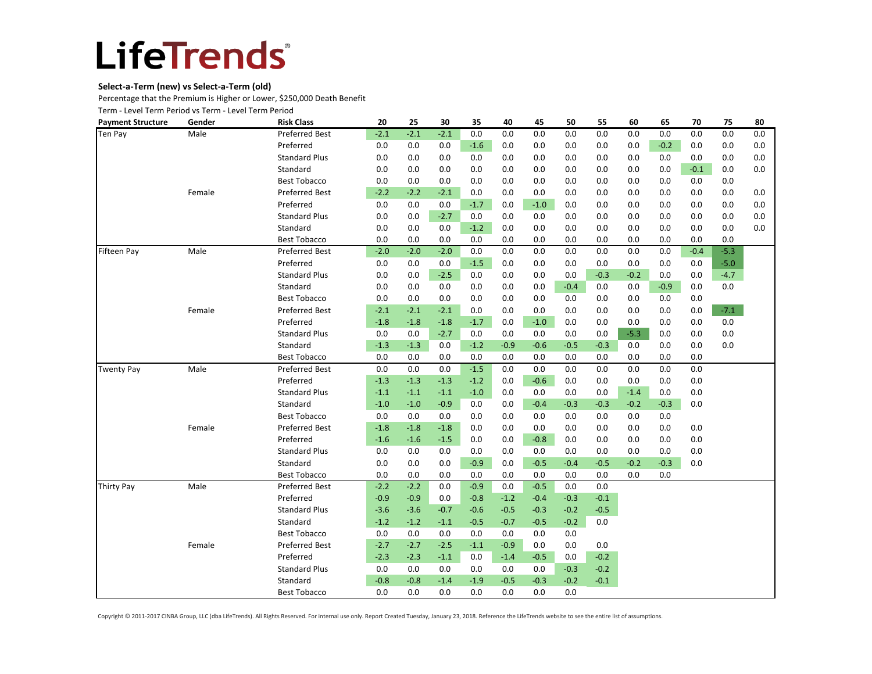### **Select-a-Term (new) vs Select-a-Term (old)**

Percentage that the Premium is Higher or Lower, \$250,000 Death Benefit

Term - Level Term Period vs Term - Level Term Period

| <b>Payment Structure</b> | Gender | <b>Risk Class</b>     | 20     | 25     | 30     | 35     | 40     | 45     | 50     | 55     | 60     | 65     | 70     | 75     | 80  |
|--------------------------|--------|-----------------------|--------|--------|--------|--------|--------|--------|--------|--------|--------|--------|--------|--------|-----|
| Ten Pay                  | Male   | <b>Preferred Best</b> | $-2.1$ | $-2.1$ | $-2.1$ | 0.0    | 0.0    | 0.0    | 0.0    | 0.0    | 0.0    | 0.0    | 0.0    | 0.0    | 0.0 |
|                          |        | Preferred             | 0.0    | 0.0    | 0.0    | $-1.6$ | 0.0    | 0.0    | 0.0    | 0.0    | 0.0    | $-0.2$ | 0.0    | 0.0    | 0.0 |
|                          |        | <b>Standard Plus</b>  | 0.0    | 0.0    | 0.0    | 0.0    | 0.0    | 0.0    | 0.0    | 0.0    | 0.0    | 0.0    | 0.0    | 0.0    | 0.0 |
|                          |        | Standard              | 0.0    | 0.0    | 0.0    | 0.0    | 0.0    | 0.0    | 0.0    | 0.0    | 0.0    | 0.0    | $-0.1$ | 0.0    | 0.0 |
|                          |        | <b>Best Tobacco</b>   | 0.0    | 0.0    | 0.0    | 0.0    | 0.0    | 0.0    | 0.0    | 0.0    | 0.0    | 0.0    | 0.0    | 0.0    |     |
|                          | Female | <b>Preferred Best</b> | $-2.2$ | $-2.2$ | $-2.1$ | 0.0    | 0.0    | 0.0    | 0.0    | 0.0    | 0.0    | 0.0    | 0.0    | 0.0    | 0.0 |
|                          |        | Preferred             | 0.0    | 0.0    | 0.0    | $-1.7$ | 0.0    | $-1.0$ | 0.0    | 0.0    | 0.0    | 0.0    | 0.0    | 0.0    | 0.0 |
|                          |        | <b>Standard Plus</b>  | 0.0    | 0.0    | $-2.7$ | 0.0    | 0.0    | 0.0    | 0.0    | 0.0    | 0.0    | 0.0    | 0.0    | 0.0    | 0.0 |
|                          |        | Standard              | 0.0    | 0.0    | 0.0    | $-1.2$ | 0.0    | 0.0    | 0.0    | 0.0    | 0.0    | 0.0    | 0.0    | 0.0    | 0.0 |
|                          |        | <b>Best Tobacco</b>   | 0.0    | 0.0    | 0.0    | 0.0    | 0.0    | 0.0    | 0.0    | 0.0    | 0.0    | 0.0    | 0.0    | 0.0    |     |
| <b>Fifteen Pay</b>       | Male   | <b>Preferred Best</b> | $-2.0$ | $-2.0$ | $-2.0$ | 0.0    | 0.0    | 0.0    | 0.0    | 0.0    | 0.0    | 0.0    | $-0.4$ | $-5.3$ |     |
|                          |        | Preferred             | 0.0    | 0.0    | 0.0    | $-1.5$ | 0.0    | 0.0    | 0.0    | 0.0    | 0.0    | 0.0    | 0.0    | $-5.0$ |     |
|                          |        | <b>Standard Plus</b>  | 0.0    | 0.0    | $-2.5$ | 0.0    | 0.0    | 0.0    | 0.0    | $-0.3$ | $-0.2$ | 0.0    | 0.0    | $-4.7$ |     |
|                          |        | Standard              | 0.0    | 0.0    | 0.0    | 0.0    | 0.0    | 0.0    | $-0.4$ | 0.0    | 0.0    | $-0.9$ | 0.0    | 0.0    |     |
|                          |        | <b>Best Tobacco</b>   | 0.0    | 0.0    | 0.0    | 0.0    | 0.0    | 0.0    | 0.0    | 0.0    | 0.0    | 0.0    | 0.0    |        |     |
|                          | Female | <b>Preferred Best</b> | $-2.1$ | $-2.1$ | $-2.1$ | 0.0    | 0.0    | 0.0    | 0.0    | 0.0    | 0.0    | 0.0    | 0.0    | $-7.1$ |     |
|                          |        | Preferred             | $-1.8$ | $-1.8$ | $-1.8$ | $-1.7$ | 0.0    | $-1.0$ | 0.0    | 0.0    | 0.0    | 0.0    | 0.0    | 0.0    |     |
|                          |        | <b>Standard Plus</b>  | 0.0    | 0.0    | $-2.7$ | 0.0    | 0.0    | 0.0    | 0.0    | 0.0    | $-5.3$ | 0.0    | 0.0    | 0.0    |     |
|                          |        | Standard              | $-1.3$ | $-1.3$ | 0.0    | $-1.2$ | $-0.9$ | $-0.6$ | $-0.5$ | $-0.3$ | 0.0    | 0.0    | 0.0    | 0.0    |     |
|                          |        | <b>Best Tobacco</b>   | 0.0    | 0.0    | 0.0    | 0.0    | 0.0    | 0.0    | 0.0    | 0.0    | 0.0    | 0.0    | 0.0    |        |     |
| <b>Twenty Pay</b>        | Male   | <b>Preferred Best</b> | 0.0    | 0.0    | 0.0    | $-1.5$ | 0.0    | 0.0    | 0.0    | 0.0    | 0.0    | 0.0    | 0.0    |        |     |
|                          |        | Preferred             | $-1.3$ | $-1.3$ | $-1.3$ | $-1.2$ | 0.0    | $-0.6$ | 0.0    | 0.0    | 0.0    | 0.0    | 0.0    |        |     |
|                          |        | <b>Standard Plus</b>  | $-1.1$ | $-1.1$ | $-1.1$ | $-1.0$ | 0.0    | 0.0    | 0.0    | 0.0    | $-1.4$ | 0.0    | 0.0    |        |     |
|                          |        | Standard              | $-1.0$ | $-1.0$ | $-0.9$ | 0.0    | 0.0    | $-0.4$ | $-0.3$ | $-0.3$ | $-0.2$ | $-0.3$ | 0.0    |        |     |
|                          |        | <b>Best Tobacco</b>   | 0.0    | 0.0    | 0.0    | 0.0    | 0.0    | 0.0    | 0.0    | 0.0    | 0.0    | 0.0    |        |        |     |
|                          | Female | <b>Preferred Best</b> | $-1.8$ | $-1.8$ | $-1.8$ | 0.0    | 0.0    | 0.0    | 0.0    | 0.0    | 0.0    | 0.0    | 0.0    |        |     |
|                          |        | Preferred             | $-1.6$ | $-1.6$ | $-1.5$ | 0.0    | 0.0    | $-0.8$ | 0.0    | 0.0    | 0.0    | 0.0    | 0.0    |        |     |
|                          |        | <b>Standard Plus</b>  | 0.0    | 0.0    | 0.0    | 0.0    | 0.0    | 0.0    | 0.0    | 0.0    | 0.0    | 0.0    | 0.0    |        |     |
|                          |        | Standard              | 0.0    | 0.0    | 0.0    | $-0.9$ | 0.0    | $-0.5$ | $-0.4$ | $-0.5$ | $-0.2$ | $-0.3$ | 0.0    |        |     |
|                          |        | <b>Best Tobacco</b>   | 0.0    | 0.0    | 0.0    | 0.0    | 0.0    | 0.0    | 0.0    | 0.0    | 0.0    | 0.0    |        |        |     |
| <b>Thirty Pay</b>        | Male   | <b>Preferred Best</b> | $-2.2$ | $-2.2$ | 0.0    | $-0.9$ | 0.0    | $-0.5$ | 0.0    | 0.0    |        |        |        |        |     |
|                          |        | Preferred             | $-0.9$ | $-0.9$ | 0.0    | $-0.8$ | $-1.2$ | $-0.4$ | $-0.3$ | $-0.1$ |        |        |        |        |     |
|                          |        | <b>Standard Plus</b>  | $-3.6$ | $-3.6$ | $-0.7$ | $-0.6$ | $-0.5$ | $-0.3$ | $-0.2$ | $-0.5$ |        |        |        |        |     |
|                          |        | Standard              | $-1.2$ | $-1.2$ | $-1.1$ | $-0.5$ | $-0.7$ | $-0.5$ | $-0.2$ | 0.0    |        |        |        |        |     |
|                          |        | <b>Best Tobacco</b>   | 0.0    | 0.0    | 0.0    | 0.0    | 0.0    | 0.0    | 0.0    |        |        |        |        |        |     |
|                          | Female | <b>Preferred Best</b> | $-2.7$ | $-2.7$ | $-2.5$ | $-1.1$ | $-0.9$ | 0.0    | 0.0    | 0.0    |        |        |        |        |     |
|                          |        | Preferred             | $-2.3$ | $-2.3$ | $-1.1$ | 0.0    | $-1.4$ | $-0.5$ | 0.0    | $-0.2$ |        |        |        |        |     |
|                          |        | <b>Standard Plus</b>  | 0.0    | 0.0    | 0.0    | 0.0    | 0.0    | 0.0    | $-0.3$ | $-0.2$ |        |        |        |        |     |
|                          |        | Standard              | $-0.8$ | $-0.8$ | $-1.4$ | $-1.9$ | $-0.5$ | $-0.3$ | $-0.2$ | $-0.1$ |        |        |        |        |     |
|                          |        | <b>Best Tobacco</b>   | 0.0    | 0.0    | 0.0    | 0.0    | 0.0    | 0.0    | 0.0    |        |        |        |        |        |     |